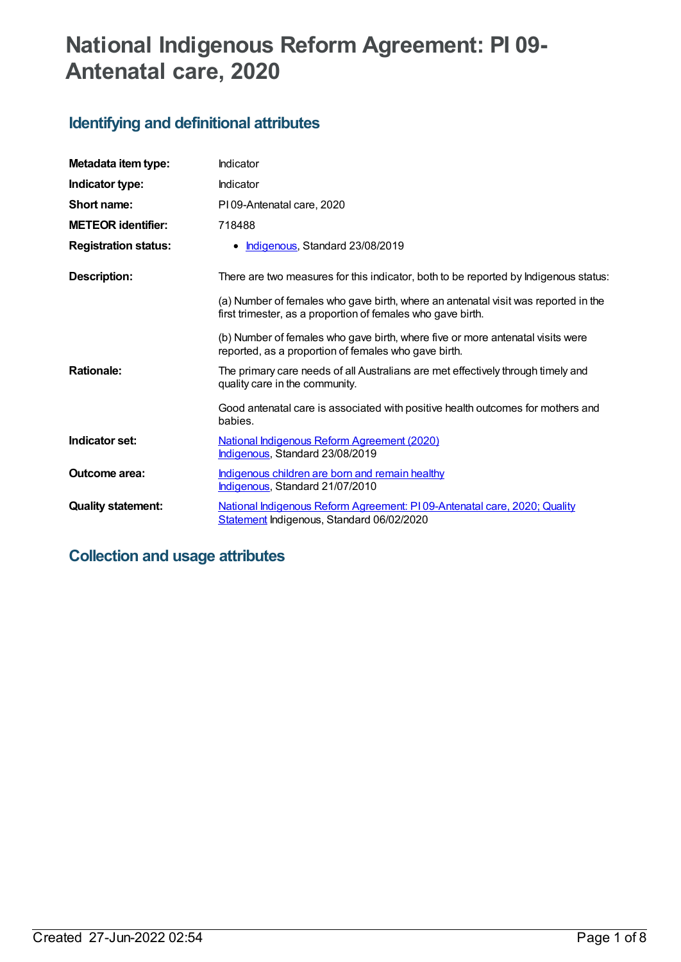# **National Indigenous Reform Agreement: PI 09- Antenatal care, 2020**

# **Identifying and definitional attributes**

| Metadata item type:         | Indicator                                                                                                                                         |
|-----------------------------|---------------------------------------------------------------------------------------------------------------------------------------------------|
| Indicator type:             | Indicator                                                                                                                                         |
| Short name:                 | PI09-Antenatal care, 2020                                                                                                                         |
| <b>METEOR identifier:</b>   | 718488                                                                                                                                            |
| <b>Registration status:</b> | • Indigenous, Standard 23/08/2019                                                                                                                 |
| Description:                | There are two measures for this indicator, both to be reported by Indigenous status:                                                              |
|                             | (a) Number of females who gave birth, where an antenatal visit was reported in the<br>first trimester, as a proportion of females who gave birth. |
|                             | (b) Number of females who gave birth, where five or more antenatal visits were<br>reported, as a proportion of females who gave birth.            |
| <b>Rationale:</b>           | The primary care needs of all Australians are met effectively through timely and<br>quality care in the community.                                |
|                             | Good antenatal care is associated with positive health outcomes for mothers and<br>babies.                                                        |
| Indicator set:              | National Indigenous Reform Agreement (2020)<br>Indigenous, Standard 23/08/2019                                                                    |
| Outcome area:               | Indigenous children are born and remain healthy<br>Indigenous, Standard 21/07/2010                                                                |
| <b>Quality statement:</b>   | National Indigenous Reform Agreement: PI09-Antenatal care, 2020; Quality<br>Statement Indigenous, Standard 06/02/2020                             |

# **Collection and usage attributes**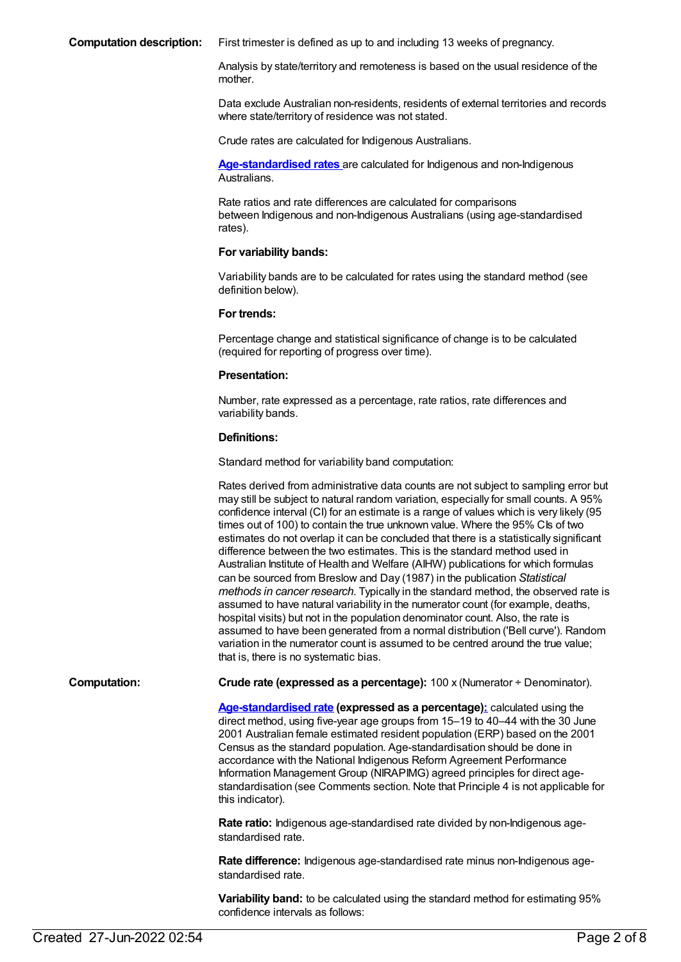**Computation description:** First trimester is defined as up to and including 13 weeks of pregnancy.

Analysis by state/territory and remoteness is based on the usual residence of the mother.

Data exclude Australian non-residents, residents of external territories and records where state/territory of residence was not stated.

Crude rates are calculated for Indigenous Australians.

**[Age-standardised](https://meteor.aihw.gov.au/content/327276) rates** are calculated for Indigenous and non-Indigenous Australians.

Rate ratios and rate differences are calculated for comparisons between Indigenous and non-Indigenous Australians (using age-standardised rates).

#### **For variability bands:**

Variability bands are to be calculated for rates using the standard method (see definition below).

#### **For trends:**

Percentage change and statistical significance of change is to be calculated (required for reporting of progress over time).

#### **Presentation:**

Number, rate expressed as a percentage, rate ratios, rate differences and variability bands.

#### **Definitions:**

Standard method for variability band computation:

Rates derived from administrative data counts are not subject to sampling error but may still be subject to natural random variation, especially for small counts. A 95% confidence interval (CI) for an estimate is a range of values which is very likely (95 times out of 100) to contain the true unknown value. Where the 95% CIs of two estimates do not overlap it can be concluded that there is a statistically significant difference between the two estimates. This is the standard method used in Australian Institute of Health and Welfare (AIHW) publications for which formulas can be sourced from Breslow and Day (1987) in the publication *Statistical methods in cancer research*. Typically in the standard method, the observed rate is assumed to have natural variability in the numerator count (for example, deaths, hospital visits) but not in the population denominator count. Also, the rate is assumed to have been generated from a normal distribution ('Bell curve'). Random variation in the numerator count is assumed to be centred around the true value; that is, there is no systematic bias.

**Computation: Crude rate (expressed as a percentage):** 100 x (Numerator ÷ Denominator).

**[Age-standardised](https://meteor.aihw.gov.au/content/327276) rate (expressed as a percentage[\):](https://meteor.aihw.gov.au/content/327276)** calculated using the direct method, using five-year age groups from 15–19 to 40–44 with the 30 June 2001 Australian female estimated resident population (ERP) based on the 2001 Census as the standard population. Age-standardisation should be done in accordance with the National Indigenous Reform Agreement Performance Information Management Group (NIRAPIMG) agreed principles for direct agestandardisation (see Comments section. Note that Principle 4 is not applicable for this indicator).

**Rate ratio:** Indigenous age-standardised rate divided by non-Indigenous agestandardised rate.

**Rate difference:** Indigenous age-standardised rate minus non-Indigenous agestandardised rate.

**Variability band:** to be calculated using the standard method for estimating 95% confidence intervals as follows: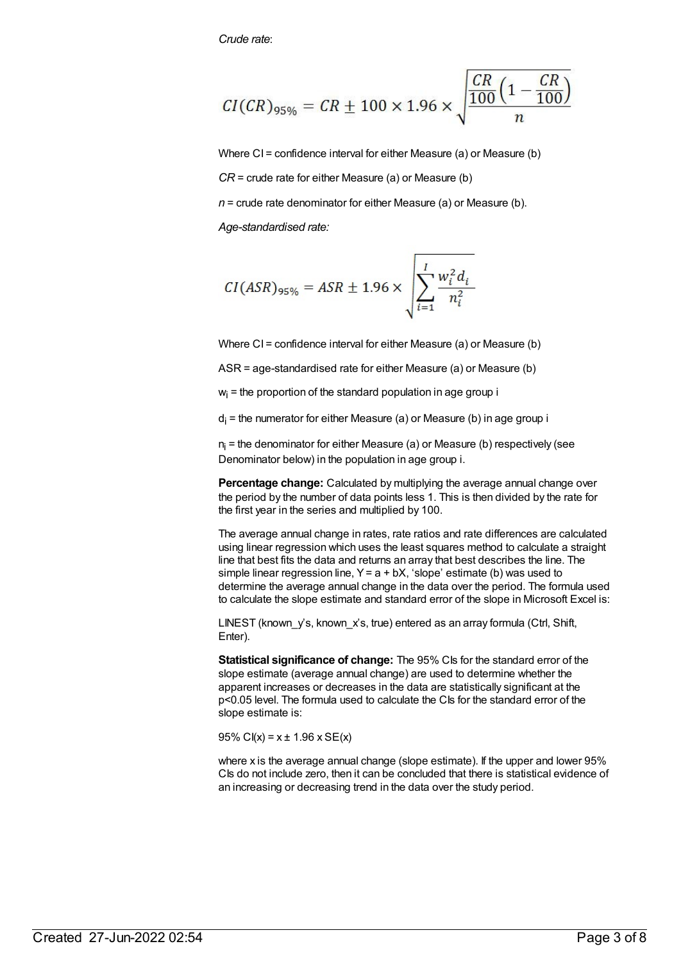*Crude rate*:

$$
CI(CR)_{95\%} = CR \pm 100 \times 1.96 \times \sqrt{\frac{CR}{100} \left(1 - \frac{CR}{100}\right)}
$$

Where CI = confidence interval for either Measure (a) or Measure (b)

*CR* = crude rate for either Measure (a) or Measure (b)

*n* = crude rate denominator for either Measure (a) or Measure (b).

*Age-standardised rate:*

$$
CI(ASR)_{95\%} = ASR \pm 1.96 \times \sqrt{\sum_{i=1}^{I} \frac{w_i^2 d_i}{n_i^2}}
$$

Where CI = confidence interval for either Measure (a) or Measure (b)

ASR = age-standardised rate for either Measure (a) or Measure (b)

 $w<sub>i</sub>$  = the proportion of the standard population in age group i

 $d_i$  = the numerator for either Measure (a) or Measure (b) in age group i

 $n_i$  = the denominator for either Measure (a) or Measure (b) respectively (see Denominator below) in the population in age group i.

**Percentage change:** Calculated by multiplying the average annual change over the period by the number of data points less 1. This is then divided by the rate for the first year in the series and multiplied by 100.

The average annual change in rates, rate ratios and rate differences are calculated using linear regression which uses the least squares method to calculate a straight line that best fits the data and returns an array that best describes the line. The simple linear regression line,  $Y = a + bX$ , 'slope' estimate (b) was used to determine the average annual change in the data over the period. The formula used to calculate the slope estimate and standard error of the slope in Microsoft Excel is:

LINEST (known\_y's, known\_x's, true) entered as an array formula (Ctrl, Shift, Enter).

**Statistical significance of change:** The 95% CIs for the standard error of the slope estimate (average annual change) are used to determine whether the apparent increases or decreases in the data are statistically significant at the p<0.05 level. The formula used to calculate the CIs for the standard error of the slope estimate is:

95% C $I(x) = x \pm 1.96$  x SE $(x)$ 

where x is the average annual change (slope estimate). If the upper and lower 95% CIs do not include zero, then it can be concluded that there is statistical evidence of an increasing or decreasing trend in the data over the study period.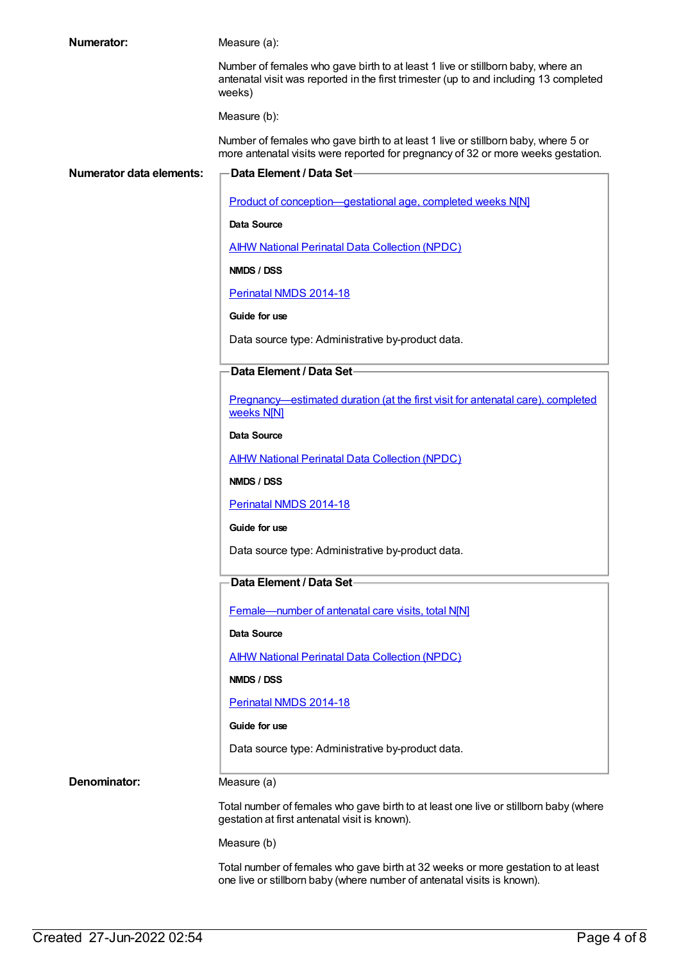| <b>Numerator:</b>               | Measure (a):                                                                                                                                                                       |
|---------------------------------|------------------------------------------------------------------------------------------------------------------------------------------------------------------------------------|
|                                 | Number of females who gave birth to at least 1 live or stillborn baby, where an<br>antenatal visit was reported in the first trimester (up to and including 13 completed<br>weeks) |
|                                 | Measure (b):                                                                                                                                                                       |
|                                 | Number of females who gave birth to at least 1 live or stillborn baby, where 5 or<br>more antenatal visits were reported for pregnancy of 32 or more weeks gestation.              |
| <b>Numerator data elements:</b> | <b>Data Element / Data Set-</b>                                                                                                                                                    |
|                                 | Product of conception-gestational age, completed weeks N[N]                                                                                                                        |
|                                 | Data Source                                                                                                                                                                        |
|                                 | <b>AIHW National Perinatal Data Collection (NPDC)</b>                                                                                                                              |
|                                 | NMDS / DSS                                                                                                                                                                         |
|                                 | Perinatal NMDS 2014-18                                                                                                                                                             |
|                                 | Guide for use                                                                                                                                                                      |
|                                 | Data source type: Administrative by-product data.                                                                                                                                  |
|                                 | Data Element / Data Set-                                                                                                                                                           |
|                                 | Pregnancy—estimated duration (at the first visit for antenatal care), completed<br>weeks N[N]                                                                                      |
|                                 | Data Source                                                                                                                                                                        |
|                                 | <b>AIHW National Perinatal Data Collection (NPDC)</b>                                                                                                                              |
|                                 | NMDS / DSS                                                                                                                                                                         |
|                                 | Perinatal NMDS 2014-18                                                                                                                                                             |
|                                 | Guide for use                                                                                                                                                                      |
|                                 | Data source type: Administrative by-product data.                                                                                                                                  |
|                                 | Data Element / Data Set                                                                                                                                                            |
|                                 | Female-number of antenatal care visits, total N[N]                                                                                                                                 |
|                                 | Data Source                                                                                                                                                                        |
|                                 | <b>AIHW National Perinatal Data Collection (NPDC)</b>                                                                                                                              |
|                                 | NMDS / DSS                                                                                                                                                                         |
|                                 | Perinatal NMDS 2014-18                                                                                                                                                             |
|                                 | Guide for use                                                                                                                                                                      |
|                                 | Data source type: Administrative by-product data.                                                                                                                                  |
| Denominator:                    | Measure (a)                                                                                                                                                                        |
|                                 | Total number of females who gave birth to at least one live or stillborn baby (where<br>gestation at first antenatal visit is known).                                              |
|                                 | Measure (b)                                                                                                                                                                        |
|                                 | Total number of females who gave birth at 32 weeks or more gestation to at least<br>one live or stillborn baby (where number of antenatal visits is known).                        |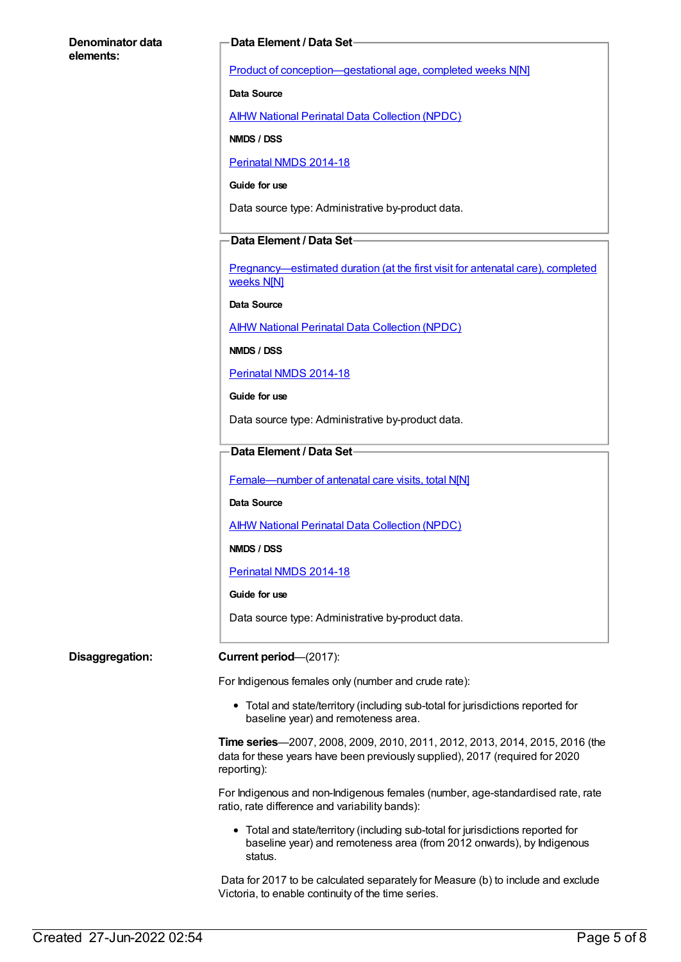#### **Denominator data elements:**

#### **Data Element / Data Set**

Product of [conception—gestational](https://meteor.aihw.gov.au/content/298105) age, completed weeks N[N]

**Data Source**

AIHW National Perinatal Data [Collection](https://meteor.aihw.gov.au/content/392479) (NPDC)

**NMDS / DSS**

[Perinatal](https://meteor.aihw.gov.au/content/517456) NMDS 2014-18

**Guide for use**

Data source type: Administrative by-product data.

### **Data Element / Data Set**

[Pregnancy—estimated](https://meteor.aihw.gov.au/content/379597) duration (at the first visit for antenatal care), completed weeks N[N]

**Data Source**

AIHW National Perinatal Data [Collection](https://meteor.aihw.gov.au/content/392479) (NPDC)

**NMDS / DSS**

[Perinatal](https://meteor.aihw.gov.au/content/517456) NMDS 2014-18

**Guide for use**

Data source type: Administrative by-product data.

### **Data Element / Data Set**

[Female—number](https://meteor.aihw.gov.au/content/423828) of antenatal care visits, total N[N]

**Data Source**

AIHW National Perinatal Data [Collection](https://meteor.aihw.gov.au/content/392479) (NPDC)

**NMDS / DSS**

[Perinatal](https://meteor.aihw.gov.au/content/517456) NMDS 2014-18

**Guide for use**

Data source type: Administrative by-product data.

**Disaggregation: Current period**—(2017):

For Indigenous females only (number and crude rate):

Total and state/territory (including sub-total for jurisdictions reported for baseline year) and remoteness area.

**Time series**—2007, 2008, 2009, 2010, 2011, 2012, 2013, 2014, 2015, 2016 (the data for these years have been previously supplied), 2017 (required for 2020 reporting):

For Indigenous and non-Indigenous females (number, age-standardised rate, rate ratio, rate difference and variability bands):

Total and state/territory (including sub-total for jurisdictions reported for baseline year) and remoteness area (from 2012 onwards), by Indigenous status.

Data for 2017 to be calculated separately for Measure (b) to include and exclude Victoria, to enable continuity of the time series.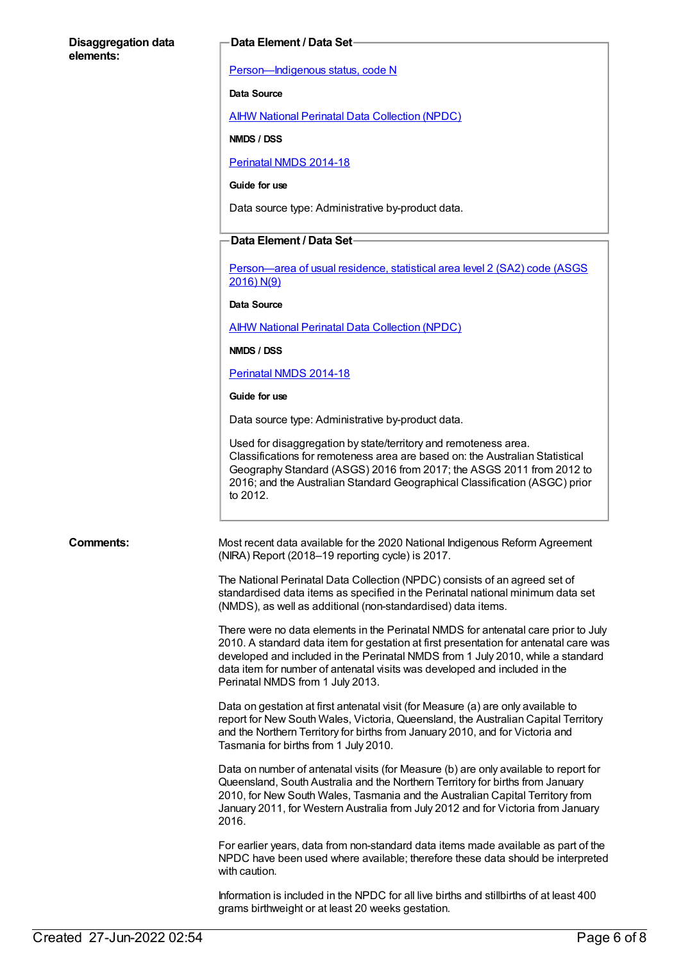#### **Disaggregation data elements:**

#### **Data Element / Data Set**

[Person—Indigenous](https://meteor.aihw.gov.au/content/291036) status, code N

**Data Source**

AIHW National Perinatal Data [Collection](https://meteor.aihw.gov.au/content/392479) (NPDC)

**NMDS / DSS**

[Perinatal](https://meteor.aihw.gov.au/content/517456) NMDS 2014-18

**Guide for use**

Data source type: Administrative by-product data.

#### **Data Element / Data Set**

[Person—area](https://meteor.aihw.gov.au/content/659725) of usual residence, statistical area level 2 (SA2) code (ASGS 2016) N(9)

**Data Source**

AIHW National Perinatal Data [Collection](https://meteor.aihw.gov.au/content/392479) (NPDC)

**NMDS / DSS**

[Perinatal](https://meteor.aihw.gov.au/content/517456) NMDS 2014-18

**Guide for use**

Data source type: Administrative by-product data.

Used for disaggregation by state/territory and remoteness area. Classifications for remoteness area are based on: the Australian Statistical Geography Standard (ASGS) 2016 from 2017; the ASGS 2011 from 2012 to 2016; and the Australian Standard Geographical Classification (ASGC) prior to 2012.

**Comments:** Most recent data available for the 2020 National Indigenous Reform Agreement (NIRA) Report (2018–19 reporting cycle) is 2017.

> The National Perinatal Data Collection (NPDC) consists of an agreed set of standardised data items as specified in the Perinatal national minimum data set (NMDS), as well as additional (non-standardised) data items.

There were no data elements in the Perinatal NMDS for antenatal care prior to July 2010. A standard data item for gestation at first presentation for antenatal care was developed and included in the Perinatal NMDS from 1 July 2010, while a standard data item for number of antenatal visits was developed and included in the Perinatal NMDS from 1 July 2013.

Data on gestation at first antenatal visit (for Measure (a) are only available to report for New South Wales, Victoria, Queensland, the Australian Capital Territory and the Northern Territory for births from January 2010, and for Victoria and Tasmania for births from 1 July 2010.

Data on number of antenatal visits (for Measure (b) are only available to report for Queensland, South Australia and the Northern Territory for births from January 2010, for New South Wales, Tasmania and the Australian Capital Territory from January 2011, for Western Australia from July 2012 and for Victoria from January 2016.

For earlier years, data from non-standard data items made available as part of the NPDC have been used where available; therefore these data should be interpreted with caution.

Information is included in the NPDC for all live births and stillbirths of at least 400 grams birthweight or at least 20 weeks gestation.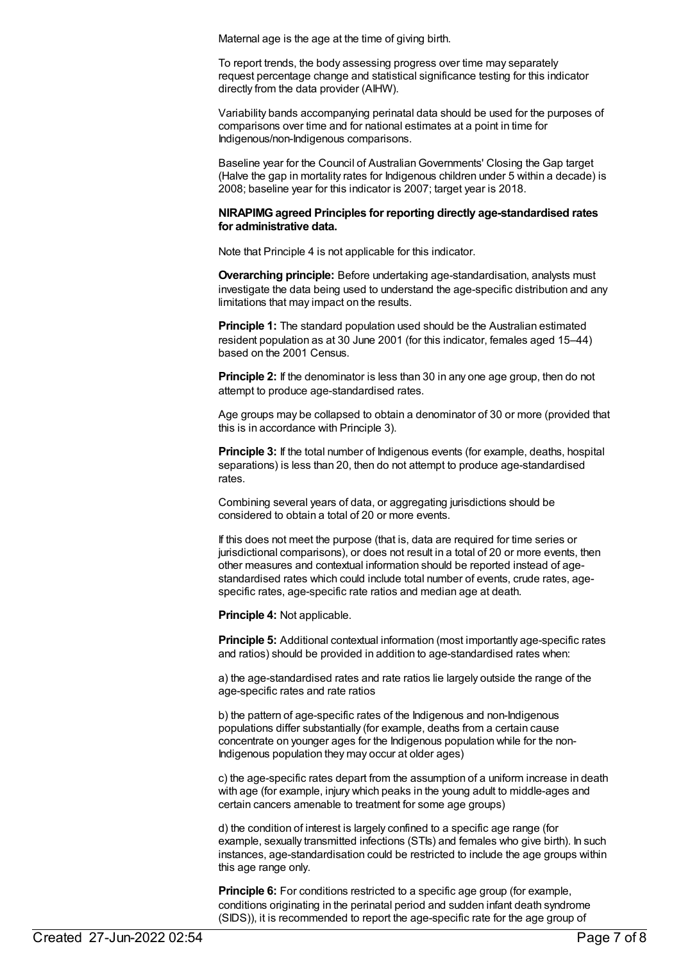Maternal age is the age at the time of giving birth.

To report trends, the body assessing progress over time may separately request percentage change and statistical significance testing for this indicator directly from the data provider (AIHW).

Variability bands accompanying perinatal data should be used for the purposes of comparisons over time and for national estimates at a point in time for Indigenous/non-Indigenous comparisons.

Baseline year for the Council of Australian Governments' Closing the Gap target (Halve the gap in mortality rates for Indigenous children under 5 within a decade) is 2008; baseline year for this indicator is 2007; target year is 2018.

#### **NIRAPIMGagreed Principles for reporting directly age-standardised rates for administrative data.**

Note that Principle 4 is not applicable for this indicator.

**Overarching principle:** Before undertaking age-standardisation, analysts must investigate the data being used to understand the age-specific distribution and any limitations that may impact on the results.

**Principle 1:** The standard population used should be the Australian estimated resident population as at 30 June 2001 (for this indicator, females aged 15–44) based on the 2001 Census.

**Principle 2:** If the denominator is less than 30 in any one age group, then do not attempt to produce age-standardised rates.

Age groups may be collapsed to obtain a denominator of 30 or more (provided that this is in accordance with Principle 3).

**Principle 3:** If the total number of Indigenous events (for example, deaths, hospital separations) is less than 20, then do not attempt to produce age-standardised rates.

Combining several years of data, or aggregating jurisdictions should be considered to obtain a total of 20 or more events.

If this does not meet the purpose (that is, data are required for time series or jurisdictional comparisons), or does not result in a total of 20 or more events, then other measures and contextual information should be reported instead of agestandardised rates which could include total number of events, crude rates, agespecific rates, age-specific rate ratios and median age at death.

**Principle 4:** Not applicable.

**Principle 5:** Additional contextual information (most importantly age-specific rates and ratios) should be provided in addition to age-standardised rates when:

a) the age-standardised rates and rate ratios lie largely outside the range of the age-specific rates and rate ratios

b) the pattern of age-specific rates of the Indigenous and non-Indigenous populations differ substantially (for example, deaths from a certain cause concentrate on younger ages for the Indigenous population while for the non-Indigenous population they may occur at older ages)

c) the age-specific rates depart from the assumption of a uniform increase in death with age (for example, injury which peaks in the young adult to middle-ages and certain cancers amenable to treatment for some age groups)

d) the condition of interest is largely confined to a specific age range (for example, sexually transmitted infections (STIs) and females who give birth). In such instances, age-standardisation could be restricted to include the age groups within this age range only.

**Principle 6:** For conditions restricted to a specific age group (for example, conditions originating in the perinatal period and sudden infant death syndrome (SIDS)), it is recommended to report the age-specific rate for the age group of